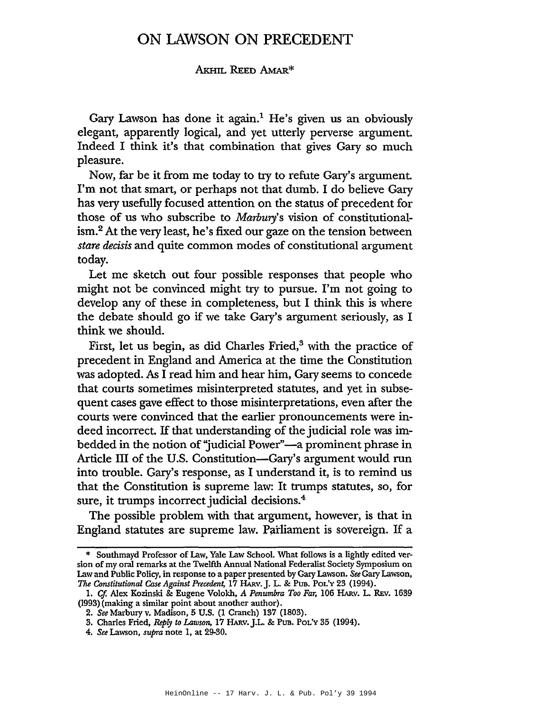## ON LAWSON ON PRECEDENT

## AKHIL REED AMAR\*

Gary Lawson has done it again.<sup>1</sup> He's given us an obviously elegant, apparently logical, and yet utterly perverse argument. Indeed I think it's that combination that gives Gary so much pleasure.

Now, far be it from me today to try to refute Gary's argument. I'm not that smart, or perhaps not that dumb. I do believe Gary has very usefully focused attention on the status of precedent for those of us who subscribe to *Marbury's* vision of constitutionalism.2 At the very least, he's fixed our gaze on the tension between *stare* decisis and quite common modes of constitutional argument today.

Let me sketch out four possible responses that people who might not be convinced might try to pursue. I'm not going to develop any of these in completeness, but I think this is where the debate should go if we take Gary's argument seriously, as I think we should.

First, let us begin, as did Charles Fried, $3$  with the practice of precedent in England and America at the time the Constitution was adopted. As I read him and hear him, Gary seems to concede that courts sometimes misinterpreted statutes, and yet in subsequent cases gave effect to those misinterpretations, even after the courts were convinced that the earlier pronouncements were indeed incorrect. If that understanding of the judicial role was imbedded in the notion of "judicial Power"-a prominent phrase in Article III of the U.S. Constitution—Gary's argument would run into trouble. Gary's response, as I understand it, is to remind us that the Constitution is supreme law: It trumps statutes, so, for sure, it trumps incorrect judicial decisions.<sup>4</sup>

The possible problem with that argument, however, is that in England statutes are supreme law. Parliament is sovereign. If a

<sup>\*</sup> Southmayd Professor of Law, Yale Law School. What follows is <sup>a</sup> lightly edited version of my oral remarks at the Twelfth Annual National Federalist Society Symposium on Law and Public Policy, in response to a paper presented by Gary Lawson. *See* Gary Lawson, *The Constitutional Case Against Precedent,* 17 HARv.J. L. & PUB. POL'y 23 (1994).

<sup>1.</sup> *Cf.* Alex Kozinski & Eugene Volokh, *A Penumbra Too Far,* 106 HARv. L. REv. 1639 (1993) (making a similar point about another author).

*<sup>2.</sup> See* Marbury v. Madison, 5 U.S. (1 Cranch) 137 (1803).

<sup>3.</sup> Charles Fried, Reply *to Lawson,* 17 HARv.J.L. & PUB. POL'y 35 (1994).

*<sup>4.</sup> See* Lawson, *supra* note 1, at 29-30.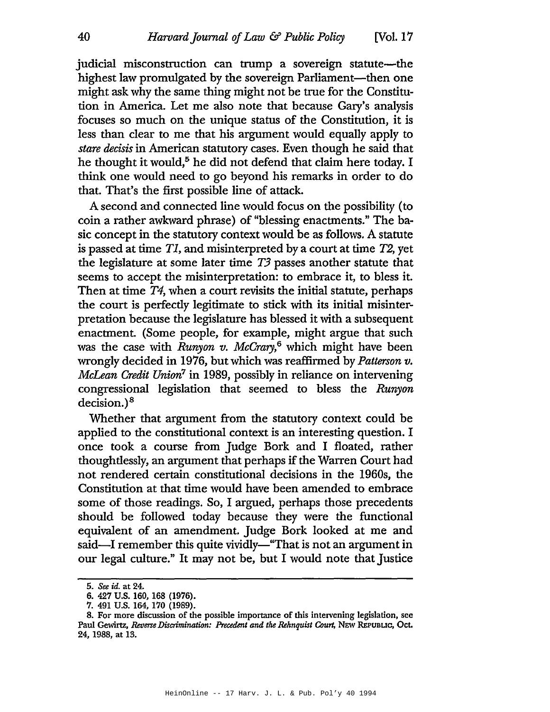judicial misconstruction can trump a sovereign statute—the highest law promulgated by the sovereign Parliament—then one might ask why the same thing might not be true for the Constitution in America. Let me also note that because Gary's analysis focuses so much on the unique status of the Constitution, it is less than clear to me that his argument would equally apply to *stare* decisis in American statutory cases. Even though he said that he thought it would,<sup>5</sup> he did not defend that claim here today. I think one would need to go beyond his remarks in order to do that. That's the first possible line of attack.

A second and connected line would focus on the possibility (to coin a rather awkward phrase) of "blessing enactments." The basic concept in the statutory context would be as follows. A statute is passed at time *TI,* and misinterpreted by a court at time *T2,* yet the legislature at some later time T3 passes another statute that seems to accept the misinterpretation: to embrace it, to bless it. Then at time *T4,* when a court revisits the initial statute, perhaps the court is perfectly legitimate to stick with its initial misinterpretation because the legislature has blessed it with a subsequent enactment. (Some people, for example, might argue that such was the case with *Runyon v. McCrary,6* which might have been wrongly decided in 1976, but which was reaffirmed by *Patterson v. McLean Credit Union7* in 1989, possibly in reliance on intervening congressional legislation that seemed to bless the *Runyon* decision.) <sup>8</sup>

Whether that argument from the statutory context could be applied to the constitutional context is an interesting question. I once took a course from Judge Bork and I floated, rather thoughtlessly, an argument that perhaps if the Warren Court had not rendered certain constitutional decisions in the 1960s, the Constitution at that time would have been amended to embrace some of those readings. So, I argued, perhaps those precedents should be followed today because they were the functional equivalent of an amendment. Judge Bork looked at me and said—I remember this quite vividly—"That is not an argument in our legal culture." It may not be, but I would note that Justice

*<sup>5.</sup> See id.* at 24.

<sup>6.</sup> 427 U.S. 160, 168 (1976).

<sup>7.</sup> 491 U.S. 164, 170 (1989).

<sup>8.</sup> For more discussion of the possible importance of this intervening legislation, see Paul Gewirtz, *Reverse Discrimination: Precedent and the Rehnquist Court,* NEW REpUBUC, Oct. 24, 1988, at 13.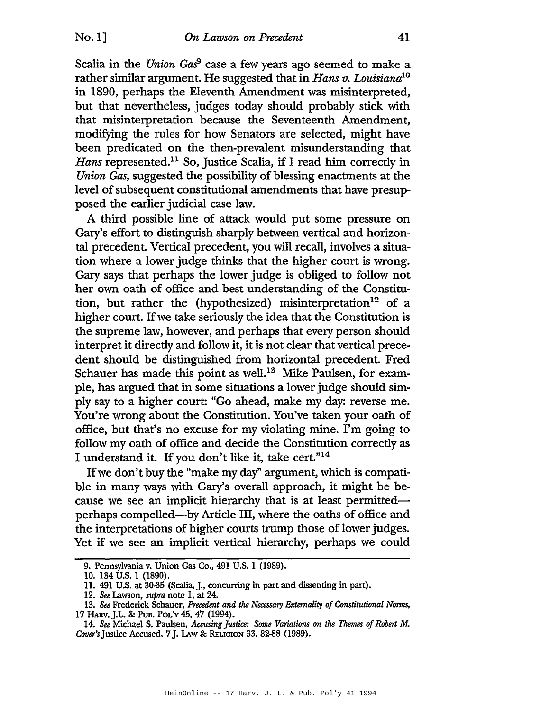Scalia in the *Union Gas*<sup>9</sup> case a few years ago seemed to make a rather similar argument. He suggested that in *Hans v. Louisianalo* in 1890, perhaps the Eleventh Amendment was misinterpreted, but that nevertheless, judges today should probably stick with that misinterpretation because the Seventeenth Amendment, modifying the rules for how Senators are selected, might have been predicated on the then-prevalent misunderstanding that Hans represented.<sup>11</sup> So, Justice Scalia, if I read him correctly in *Union Gas,* suggested the possibility of blessing enactments at the level of subsequent constitutional amendments that have presupposed the earlier judicial case law.

A third possible line of attack would put some pressure on Gary's effort to distinguish sharply between vertical and horizontal precedent. Vertical precedent, you will recall, involves a situation where a lower judge thinks that the higher court is wrong. Gary says that perhaps the lower judge is obliged to follow not her own oath of office and best understanding of the Constitution, but rather the (hypothesized) misinterpretation<sup>12</sup> of a higher court. If we take seriously the idea that the Constitution is the supreme law, however, and perhaps that every person should interpret it directly and follow it, it is not clear that vertical precedent should be distinguished from horizontal precedent. Fred Schauer has made this point as well.<sup>13</sup> Mike Paulsen, for example, has argued that in some situations a lower judge should simply say to a higher court: "Go ahead, make my day: reverse me. You're wrong about the Constitution. You've taken your oath of office, but that's no excuse for my violating mine. I'm going to follow my oath of office and decide the Constitution correctly as I understand it. If you don't like it, take cert."14

If we don't buy the "make my day" argument, which is compatible in many ways with Gary's overall approach, it might be because we see an implicit hierarchy that is at least permittedperhaps compelled-by Article III, where the oaths of office and the interpretations of higher courts trump those of lower judges. Yet if we see an implicit vertical hierarchy, perhaps we could

<sup>9.</sup> Pennsylvania v. Union Gas Co., 491 U.S. 1 (1989).

<sup>10.</sup> 134 U.S. 1 (1890).

<sup>11.</sup> 491 U.S. at 30-35 (Scalia,]., concurring in part and dissenting in part).

*<sup>12.</sup> See* Lawson, *supra* note 1, at 24.

<sup>13.</sup> See Frederick Schauer, *Precedent and the Necessary Externality of Constitutional Norms,* 17 HARv. ].L. & PUB. POL'y 45, 47 (1994).

*<sup>14.</sup> See* Michael S. Paulsen, *Accusing]ustia: Some Variations* on *the Themes ofRobert* M. Cover's Justice Accused, 7 J. LAW & RELIGION 33, 82-88 (1989).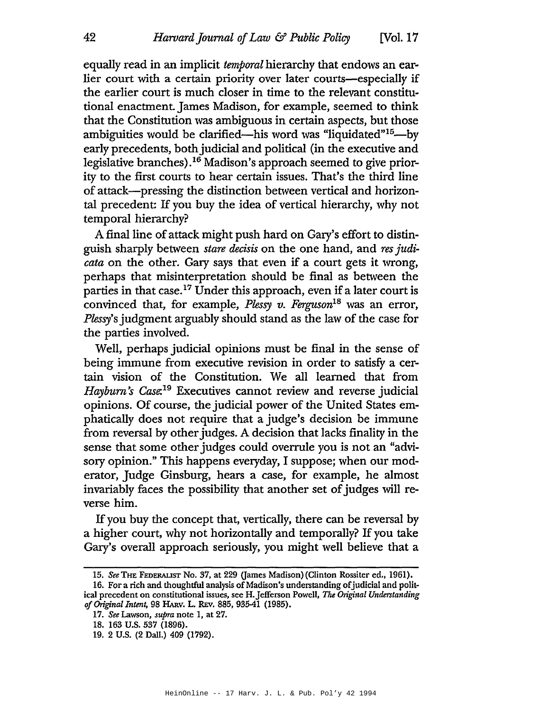equally read in an implicit *temporal* hierarchy that endows an earlier court with a certain priority over later courts—especially if the earlier court is much closer in time to the relevant constitutional enactment.James Madison, for example, seemed to think that the Constitution was ambiguous in certain aspects, but those ambiguities would be clarified—his word was "liquidated"<sup>15</sup>—by early precedents, both judicial and political (in the executive and legislative branches).16 Madison's approach seemed to give priority to the first courts to hear certain issues. That's the third line of attack-pressing the distinction between vertical and horizontal precedent: If you buy the idea of vertical hierarchy, why not temporal hierarchy?

A final line of attack might push hard on Gary's effort to distinguish sharply between *stare* decisis on the one hand, and *res judicata* on the other. Gary says that even if a court gets it wrong, perhaps that misinterpretation should be final as between the parties in that case.<sup>17</sup> Under this approach, even if a later court is convinced that, for example, *Plessy v. Ferguson*I8 was an error, *Plessy's* judgment arguably should stand as the law of the case for the parties involved.

Well, perhaps judicial opinions must be final in the sense of being immune from executive revision in order to satisfy a certain vision of the Constitution. We all learned that from *Haybum Case: <sup>19</sup>* Executives cannot review and reverse judicial opinions. Of course, the judicial power of the United States emphatically does not require that a judge's decision be immune from reversal by other judges. A decision that lacks finality in the sense that some other judges could overrule you is not an "advisory opinion." This happens everyday, I suppose; when our moderator, Judge Ginsburg, hears a case, for example, he almost invariably faces the possibility that another set of judges will reverse him.

Ifyou buy the concept that, vertically, there can be reversal by a higher court, why not horizontally and temporally? If you take Gary's overall approach seriously, you might well believe that a

*<sup>15.</sup> See* THE FEDERALIST No. 37, at 229 (James Madison) (Clinton Rossiter ed., 1961).

<sup>16.</sup> For a rich and thoughtful analysis of Madison's understanding of judicial and political precedent on constitutional issues, see H.]efferson Powell. *The Original Understanding ofOriginal Intent,* 98 HARv. L. REv. 885, 935-41 (1985).

*<sup>17.</sup> See* Lawson, *supra* note 1, at 27.

<sup>18.</sup> 163 U.S. 537 (1896).

<sup>19.</sup> 2 U.S. (2 Dall.) 409 (1792).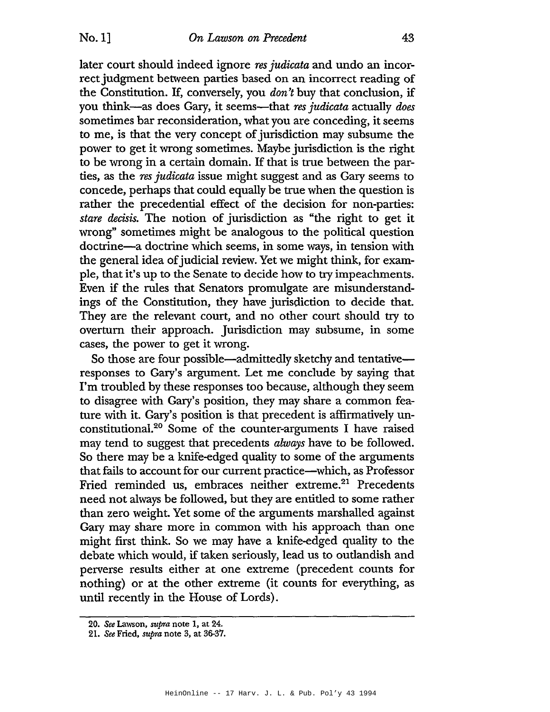later court should indeed ignore *res judicata* and undo an incorrect judgment between parties based on an incorrect reading of the Constitution. If, conversely, you *don't* buy that conclusion, if you think-as does Gary, it seems-that *res judicata* actually *does* sometimes bar reconsideration, what you are conceding, it seems to me, is that the very concept of jurisdiction may subsume the power to get it wrong sometimes. Maybe jurisdiction is the right to be wrong in a certain domain. If that is true between the parties, as the *res judicata* issue might suggest and as Gary seems to concede, perhaps that could equally be true when the question is rather the precedential effect of the decision for non-parties: *stare* decisis. The notion of jurisdiction as "the right to get it wrong" sometimes might be analogous to the political question doctrine-a doctrine which seems, in some ways, in tension with the general idea of judicial review. Yet we might think, for example, that it's up to the Senate to decide how to try impeachments. Even if the rules that Senators promulgate are misunderstandings of the Constitution, they have jurisdiction to decide that. They are the relevant court, and no other court should try to overturn their approach. Jurisdiction may subsume, in some cases, the power to get it wrong.

So those are four possible—admittedly sketchy and tentative responses to Gary's argument. Let me conclude by saying that I'm troubled by these responses too because, although they seem to disagree with Gary's position, they may share a common feature with it. Gary's position is that precedent is affirmatively unconstitutional.<sup>20</sup> Some of the counter-arguments I have raised may tend to suggest that precedents *always* have to be followed. So there may be a knife-edged quality to some of the arguments that fails to account for our current practice-which, as Professor Fried reminded us, embraces neither extreme.<sup>21</sup> Precedents need not always be followed, but they are entitled to some rather than zero weight. Yet some of the arguments marshalled against Gary may share more in common with his approach than one might first think. So we may have a knife-edged quality to the debate which would, if taken seriously, lead us to outlandish and perverse results either at one extreme (precedent counts for nothing) or at the other extreme (it counts for everything, as until recently in the House of Lords).

*<sup>20.</sup> See* Lawson, *supra* note I, at 24.

<sup>21.</sup> *See* Fried, *supra* note 3, at 36-37.